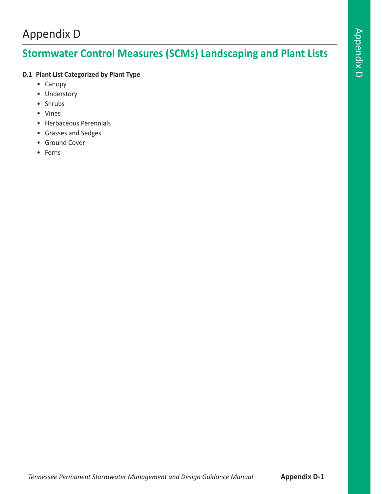## Appendix D

# **Stormwater Control Measures (SCMs) Landscaping and Plant Lists**

### **D.1 Plant List Categorized by Plant Type**

- Canopy
- Understory
- Shrubs
- Vines
- Herbaceous Perennials
- Grasses and Sedges
- Ground Cover
- Ferns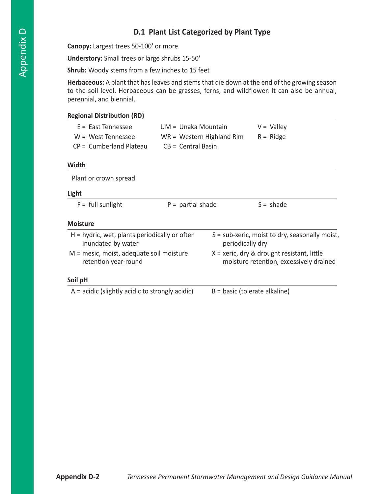### **D.1 Plant List Categorized by Plant Type**

**Canopy:** Largest trees 50-100' or more

**Understory:** Small trees or large shrubs 15-50'

**Shrub:** Woody stems from a few inches to 15 feet

**Herbaceous:** A plant that has leaves and stems that die down at the end of the growing season to the soil level. Herbaceous can be grasses, ferns, and wildflower. It can also be annual, perennial, and biennial.

#### **Regional Distribution (RD)**

| E = East Tennessee        | UM = Unaka Mountain         | $V =$ Valley |
|---------------------------|-----------------------------|--------------|
| $W = West Tennessee$      | $WR = Western$ Highland Rim | $R =$ Ridge  |
| $CP =$ Cumberland Plateau | $CB = Central Basin$        |              |

#### **Width**

| Plant or crown spread                                                 |                     |                                                                                         |
|-----------------------------------------------------------------------|---------------------|-----------------------------------------------------------------------------------------|
| Light                                                                 |                     |                                                                                         |
| $F =$ full sunlight                                                   | $P =$ partial shade | $S = shade$                                                                             |
| <b>Moisture</b>                                                       |                     |                                                                                         |
| $H =$ hydric, wet, plants periodically or often<br>inundated by water |                     | $S = sub\text{-}x$ eric, moist to dry, seasonally moist,<br>periodically dry            |
| M = mesic, moist, adequate soil moisture<br>retention year-round      |                     | $X =$ xeric, dry & drought resistant, little<br>moisture retention, excessively drained |
| Soil pH                                                               |                     |                                                                                         |
| $A =$ acidic (slightly acidic to strongly acidic)                     |                     | $B = basic (tolerate alkaline)$                                                         |
|                                                                       |                     |                                                                                         |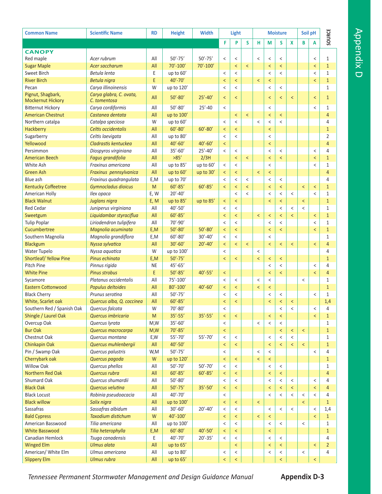| <b>Common Name</b>         | <b>Scientific Name</b>    | <b>RD</b> | <b>Height</b> | <b>Width</b> | Light                    |                          |                          |                          |                          | <b>Moisture</b>          |         | Soil pH                  |                          | SOURCE         |  |
|----------------------------|---------------------------|-----------|---------------|--------------|--------------------------|--------------------------|--------------------------|--------------------------|--------------------------|--------------------------|---------|--------------------------|--------------------------|----------------|--|
|                            |                           |           |               |              | F                        | P                        | S.                       | н                        | M                        | S                        | X       | B                        | A                        |                |  |
| <b>CANOPY</b>              |                           |           |               |              |                          |                          |                          |                          |                          |                          |         |                          |                          |                |  |
| Red maple                  | Acer rubrum               | All       | $50' - 75'$   | $50' - 75'$  | $\,<\,$                  | $\,<\,$                  |                          | $\,<$                    | $\,<$                    | $\,<\,$                  |         |                          | $\,<\,$                  | $\mathbf{1}$   |  |
| <b>Sugar Maple</b>         | Acer saccharum            | All       | 70'-100'      | 70'-100'     |                          | $\overline{\phantom{a}}$ | $\overline{\phantom{a}}$ |                          | $\,<$                    | $\overline{\phantom{a}}$ |         |                          | $\overline{\phantom{a}}$ | $\mathbf{1}$   |  |
| Sweet Birch                | Betula lenta              | E         | up to 60'     |              | $\,<$                    | $\,<$                    |                          |                          | $\,<$                    | $\,<\,$                  |         |                          | $\,<\,$                  | 1              |  |
| <b>River Birch</b>         | Betula nigra              | E         | $40' - 70'$   |              | $\,<$                    | $\,<$                    |                          | $\,<$                    | $\,<$                    |                          |         |                          | $\overline{\phantom{0}}$ | $\mathbf{1}$   |  |
| Pecan                      | Carya illinoinensis       | W         | up to 120'    |              | $\,<\,$                  | $\,<\,$                  |                          |                          | $\,<\,$                  | $\,<\,$                  |         |                          |                          | 1              |  |
| Pignut, Shagbark,          | Carya glabra, C. ovata,   |           |               |              |                          |                          |                          |                          |                          |                          |         |                          |                          |                |  |
| <b>Mockernut Hickory</b>   | C. tomentosa              | All       | $50' - 80'$   | $25' - 40'$  | $\,<$                    | $\overline{\phantom{0}}$ |                          |                          | $\,<$                    | $\,<$                    | $\,<\,$ |                          | $\overline{\phantom{0}}$ | $\mathbf{1}$   |  |
| <b>Bitternut Hickory</b>   | Carya cordiformis         | All       | $50' - 80'$   | $25' - 40$   | $\,<$                    |                          |                          |                          | $\,<$                    |                          |         |                          | $\,<\,$                  | 1              |  |
| <b>American Chestnut</b>   | Castanea dentata          | All       | up to 100'    |              |                          | $\,<$                    | $\,<$                    |                          | $\overline{\phantom{0}}$ | $\,<$                    |         |                          |                          | $\overline{4}$ |  |
| Northern catalpa           | Catalpa speciosa          | W         | up to 60'     |              | $\,<\,$                  | $\,<\,$                  |                          | $\,<$                    | $\,<$                    | $\,<$                    |         |                          |                          | 4              |  |
| Hackberry                  | Celtis occidentalis       | All       | $60' - 80'$   | $60' - 80'$  | $\,<$                    | $\,<$                    |                          |                          | $\,<$                    |                          |         |                          |                          | $\mathbf{1}$   |  |
| Sugarberry                 | Celtis laevigata          | All       | up to 80'     |              | $\,<$                    | $\,<\,$                  |                          |                          | $\,<$                    |                          |         |                          |                          | $\overline{2}$ |  |
| Yellowood                  | Cladrastis kentuckea      | All       | $40' - 60'$   | $40' - 60'$  | $\,<$                    |                          |                          |                          | $\,<$                    |                          |         |                          |                          | $\overline{4}$ |  |
| Persimmon                  | Diospyros virginiana      | All       | $35' - 60'$   | $25' - 40'$  | $\,<\,$                  | $\,<$                    |                          |                          | $\,<$                    | $\,<\,$                  |         |                          | $\,<\,$                  | 4              |  |
| <b>American Beech</b>      | Fagus grandifolia         | All       | >85'          | 2/3H         |                          | $\,<$                    | $\,<$                    |                          | $\,<$                    | $\overline{\phantom{a}}$ |         |                          | $\overline{\phantom{0}}$ | $\mathbf{1}$   |  |
| White Ash                  | Fraxinus americana        | All       | up to 85'     | up to 60'    | $\,<$                    | $\,<$                    |                          |                          | $\,<$                    |                          |         |                          | $\,<\,$                  | 1              |  |
| <b>Green Ash</b>           | Fraxinus pennsylvanica    | All       | up to 60'     | up to 30'    | $\,<$                    | $\,<$                    |                          | $\,<$                    | $\,<$                    |                          |         |                          |                          | $\overline{4}$ |  |
| Blue ash                   | Fraxinus quadrangulata    | E,M       | up to 70'     |              | $\,<$                    | $\,<$                    | $\,<$                    |                          | $\,<$                    | $\,<$                    |         |                          |                          | 4              |  |
| <b>Kentucky Coffeetree</b> | Gymnocladus dioicus       | M         | $60' - 85'$   | $60' - 85'$  | $\overline{\phantom{0}}$ | $\overline{\phantom{0}}$ | $\overline{\phantom{a}}$ |                          | $\overline{\phantom{0}}$ | $\overline{\phantom{a}}$ |         | $\,<$                    | $\,<$                    | $\mathbf{1}$   |  |
| American Holly             | Ilex opaca                | E, W      | $20' - 40'$   |              |                          | $\,<\,$                  | $\,<$                    |                          | $\,<$                    | $\,<\,$                  | $\,<$   |                          | $\,<\,$                  | 1              |  |
| <b>Black Walnut</b>        | Juglans nigra             | E, M      | up to 85'     | up to 85'    | $\,<$                    | $\,<$                    |                          |                          | $\,<$                    | $\,<$                    |         | $\,<$                    |                          | $\mathbf{1}$   |  |
| <b>Red Cedar</b>           | Juniperus virginiana      | All       | $40' - 50'$   |              | $\,<\,$                  | $\,<\,$                  |                          |                          |                          | $\,<\,$                  | $\,<$   | $\,<$                    |                          | 1              |  |
| Sweetgum                   | Liquidambar styraciflua   | All       | $60' - 85'$   |              | $\,<$                    | $\,<$                    |                          | $\,<$                    | $\,<$                    | $\overline{\phantom{a}}$ | $\,<$   |                          | $\overline{\phantom{0}}$ | $\mathbf{1}$   |  |
| <b>Tulip Poplar</b>        | Liriodendron tulipifera   | All       | 70'-90'       |              | $\,<$                    | $\,<$                    |                          |                          | $\,<$                    | $\,<$                    |         |                          | $\,<\,$                  | 1              |  |
| Cucumbertree               | Magnolia acuminata        | E,M       | $50' - 80'$   | $50' - 80'$  | $\,<$                    | $\overline{\phantom{a}}$ |                          |                          | $\,<$                    | $\overline{\phantom{a}}$ |         |                          | $\overline{\phantom{0}}$ | $\mathbf{1}$   |  |
| Southern Magnolia          | Magnolia grandiflora      | E,M       | $60' - 80'$   | $30' - 40'$  | $\,<$                    | $\,<\,$                  |                          |                          | $\,<$                    |                          |         |                          |                          | 1              |  |
| Blackgum                   | Nyssa sylvatica           | All       | $30' - 60'$   | $20' - 40'$  | $\overline{\phantom{a}}$ | $\overline{\phantom{a}}$ | $\,<$                    |                          | $\,<$                    | $\,<$                    | $\,<$   |                          | $\overline{\phantom{0}}$ | 4              |  |
| Water Tupelo               | Nyssa aquatica            | W         | up to 100'    |              | $\,<\,$                  |                          |                          | $\,<$                    |                          |                          |         |                          |                          | 4              |  |
| Shortleaf/Yellow Pine      | Pinus echinata            | E,M       | $50' - 75'$   |              | $\,<$                    | $\,<$                    |                          | $\,<$                    | $\,<$                    | $\overline{\phantom{a}}$ |         |                          |                          | $\mathbf{1}$   |  |
| Pitch Pine                 | Pinnus rigida             | <b>NE</b> | $45' - 65'$   |              |                          |                          |                          |                          | $\,<$                    | $\,<\,$                  |         |                          | $\,<\,$                  | 4              |  |
| <b>White Pine</b>          | <b>Pinus strobus</b>      | E         | $50' - 85'$   | $40' - 55'$  | $\overline{\phantom{0}}$ |                          |                          |                          | $\prec$                  | $\overline{\phantom{a}}$ |         |                          | $\overline{\phantom{0}}$ | 4              |  |
| Sycamore                   | Platanus occidentalis     | All       | 75'-100'      |              | $\,<\,$                  | $\,<$                    |                          | $\,<$                    | $\,<$                    |                          |         | $\,<$                    |                          | 1              |  |
| <b>Eastern Cottonwood</b>  | Populus deltoides         | All       | 80'-100'      | $40' - 60'$  | $\,<$                    | $\overline{\phantom{a}}$ |                          | $\overline{\phantom{0}}$ | $\,<$                    |                          |         |                          |                          | $\mathbf{1}$   |  |
| <b>Black Cherry</b>        | Prunus serotina           | All       | $50' - 75'$   |              | $\,<\,$                  | $\,<\,$                  |                          |                          | $\,<$                    | $\,<\,$                  |         |                          | $\,<\,$                  | 1              |  |
| White, Scarlet oak         | Quercus alba, Q. coccinea | All       | $60' - 85'$   |              | $\overline{\phantom{0}}$ | $\overline{\phantom{0}}$ |                          |                          | $\overline{\phantom{0}}$ | $\overline{\phantom{a}}$ | $\,<$   |                          |                          | 1,4            |  |
| Southern Red / Spanish Oak | Quercus falcata           | W         | 70'-80'       |              | <                        |                          |                          |                          |                          |                          | ≺       |                          |                          |                |  |
| Shingle / Laurel Oak       | Quercus imbricaria        | M         | $35' - 55'$   | $35' - 55'$  | $\,<$                    | $\,<$                    |                          |                          | $\,<$                    | $\overline{\phantom{a}}$ |         |                          | $\overline{\phantom{0}}$ | $\mathbf{1}$   |  |
| Overcup Oak                | Quercus lyrata            | M,W       | $35' - 60'$   |              | $\,<$                    |                          |                          | $\,<$                    | $\,<$                    | $\,<\,$                  |         |                          |                          | $\mathbf{1}$   |  |
| <b>Bur Oak</b>             | Quercus macrocarpa        | M,W       | $70' - 85'$   |              | $\,<$                    |                          |                          |                          |                          | $\overline{\phantom{a}}$ | $\,<$   | $\,<$                    |                          | $\mathbf{1}$   |  |
| Chestnut Oak               | Quercus montana           | E,W       | $55' - 70'$   | 55'-70'      | $\,<$                    | $\,<\,$                  |                          |                          | $\,<$                    | $\,<\,$                  | $\,<$   |                          |                          | 1              |  |
| Chinkapin Oak              | Quercus muhlenbergii      | All       | $40' - 50'$   |              | $\,<$                    | $\,<$                    |                          |                          | $\,<$                    | $\overline{\phantom{a}}$ | $\,<$   | $\,<$                    |                          | $\mathbf{1}$   |  |
| Pin / Swamp Oak            | Quercus palustris         | W,M       | $50' - 75'$   |              | $\,<$                    |                          |                          | $\,<$                    | $\,<$                    |                          |         |                          | $\,<\,$                  | 4              |  |
| Cherrybark oak             | Quercus pagoda            | W         | up to 120'    |              | $\,<$                    | $\,<$                    |                          | $\,<$                    | $\,<$                    |                          |         |                          |                          | $\mathbf{1}$   |  |
| <b>Willow Oak</b>          | Quercus phellos           | All       | $50' - 70'$   | $50' - 70'$  | $\,<$                    | $\,<\,$                  |                          |                          | $\,<$                    | $\,<\,$                  |         |                          |                          | $\mathbf{1}$   |  |
| Northern Red Oak           | Quercus rubra             | All       | $60' - 85'$   | $60' - 85'$  | $\,<$                    | $\,<$                    |                          |                          | $\,<$                    | $\prec$                  |         |                          |                          | $\overline{4}$ |  |
| Shumard Oak                | Quercus shumardii         | All       | $50' - 80'$   |              | $\,<$                    | $\,<\,$                  |                          |                          | $\,<$                    | $\,<\,$                  | $\,<$   |                          | $\,<\,$                  | 4              |  |
| <b>Black Oak</b>           | Quercus velutina          | All       | $50' - 75'$   | $35' - 50'$  | $\,<$                    | $\,<$                    |                          |                          | $\,<$                    | $\,<\,$                  | $\,<$   |                          | $\overline{\phantom{0}}$ | 4              |  |
| <b>Black Locust</b>        | Robinia pseudoacacia      | All       | $40' - 70'$   |              | $\,<$                    |                          |                          |                          | $\,<$                    | $\,<\,$                  | $\,<$   | $\,<$                    | $\,<\,$                  | $\overline{4}$ |  |
| <b>Black willow</b>        | Salix nigra               | All       | up to 100'    |              | $\,<$                    | $\,<$                    |                          | $\,<$                    |                          |                          |         | $\overline{\phantom{a}}$ |                          | $\mathbf{1}$   |  |
| Sassafras                  | Sassafras albidum         | All       | $30' - 60'$   | $20' - 40'$  | $\,<$                    | $\,<\,$                  |                          |                          | $\,<$                    | $\,<\,$                  | $\,<$   |                          | $\,<\,$                  | 1,4            |  |
| <b>Bald Cypress</b>        | Taxodium distichum        | W         | 40'-100'      |              | $\,<$                    | $\,<$                    |                          | $\,<$                    | $\,<$                    |                          |         |                          | $\overline{\phantom{0}}$ | $\mathbf{1}$   |  |
| American Basswood          | Tilia americana           | All       | up to 100'    |              | $\,<$                    | $\,<\,$                  |                          |                          | $\,<\,$                  | $\,<\,$                  |         | $\,<$                    |                          | $\mathbf{1}$   |  |
| <b>White Basswood</b>      | Tilia heterophylla        | E,M       | $60' - 80'$   | $40' - 50'$  | $\,<$                    | $\,<\,$                  |                          |                          | $\,<$                    |                          |         |                          |                          | $\mathbf{1}$   |  |
| Canadian Hemlock           | Tsuga canadensis          | E         | $40' - 70'$   | $20' - 35'$  | $\,<$                    | $\,<\,$                  |                          |                          | $\,<$                    | $\,<\,$                  |         |                          |                          | 4              |  |
| <b>Winged Elm</b>          | <b>Ulmus alata</b>        | All       | up to 65'     |              |                          | $\overline{\phantom{a}}$ |                          |                          | $\,<$                    | $\prec$                  |         |                          | $\prec$                  | $\overline{2}$ |  |
| American/ White Elm        | Ulmus americana           | All       | up to 80'     |              | $\,<$                    | $\,<\,$                  |                          |                          | $\,<$                    | $\,<\,$                  |         | $\,<$                    |                          | 4              |  |
| <b>Slippery Elm</b>        | <b>Ulmus rubra</b>        | All       | up to 65'     |              | $\prec$                  | $\prec$                  |                          |                          |                          | $\prec$                  |         |                          | $\prec$                  |                |  |
|                            |                           |           |               |              |                          |                          |                          |                          |                          |                          |         |                          |                          |                |  |

*Tennessee Permanent Stormwater Management and Design Guidance Manual* **Appendix D-3**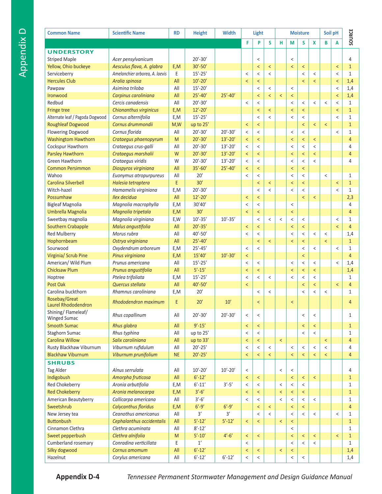| <b>Common Name</b>                        | <b>Scientific Name</b>         | <b>RD</b> | <b>Height</b> | <b>Width</b> | Light   |                          |                          |                          |                          | <b>Moisture</b>          |                          |                          | Soil pH                  |                |
|-------------------------------------------|--------------------------------|-----------|---------------|--------------|---------|--------------------------|--------------------------|--------------------------|--------------------------|--------------------------|--------------------------|--------------------------|--------------------------|----------------|
|                                           |                                |           |               |              | F       | P                        | S                        | н                        | M                        | S                        | X                        | B                        | A                        | SOURCE         |
| <b>UNDERSTORY</b>                         |                                |           |               |              |         |                          |                          |                          |                          |                          |                          |                          |                          |                |
| <b>Striped Maple</b>                      | Acer pensylvanicum             |           | $20' - 30'$   |              |         | $\,<$                    |                          |                          | $\,<$                    |                          |                          |                          |                          | 4              |
| Yellow, Ohio buckeye                      | Aesculus flava, A. glabra      | E,M       | $30' - 50'$   |              |         | $\prec$                  | $\,<$                    |                          | $\prec$                  | $\,<$                    |                          |                          | $\,<$                    | $\mathbf{1}$   |
| Serviceberry                              | Amelanchier arborea, A. laevis | E         | $15' - 25'$   |              | $\,<$   | $\,<$                    | $\,<$                    |                          |                          | $\,<$                    | $\,<$                    |                          | $\,<$                    | $\mathbf{1}$   |
| <b>Hercules Club</b>                      | Aralia spinosa                 | All       | $10' - 20'$   |              | $\,<$   | $\,<$                    |                          |                          |                          | $\,<$                    | $\,<$                    |                          | $\,<$                    | 1,4            |
| Pawpaw                                    | Asimina triloba                | All       | $15' - 20'$   |              |         | $\,<$                    | $\,<$                    |                          | $\,<\,$                  |                          |                          |                          | $\,<\,$                  | 1,4            |
| Ironwood                                  | Carpinus caroliniana           | All       | $25' - 40'$   | $25' - 40'$  |         | $\overline{\phantom{0}}$ | $\,<$                    | $\overline{\phantom{a}}$ | $\overline{\phantom{0}}$ |                          |                          |                          | $\overline{\phantom{a}}$ | 1,4            |
| Redbud                                    | Cercis canadensis              | All       | $20' - 30'$   |              | $\,<$   | $\,<$                    |                          |                          | $\,<\,$                  | $\,<$                    | $\,<$                    | $\,<$                    | $\,<$                    | $\mathbf{1}$   |
| <b>Fringe tree</b>                        | Chionanthus virginicus         | E,M       | $12' - 20'$   |              |         | $\prec$                  | $\,<$                    |                          | $\overline{\phantom{0}}$ | $\,<$                    |                          |                          | $\overline{\phantom{a}}$ | $\mathbf{1}$   |
| Alternate leaf / Pagoda Dogwood           | Cornus alternifolia            | E,M       | $15' - 25'$   |              |         | $\,<$                    | $\overline{a}$           |                          | $\,<\,$                  | $\,<$                    |                          |                          | $\,<$                    | $\mathbf{1}$   |
| <b>Roughleaf Dogwood</b>                  | Cornus drummondii              | M,W       | up to 25'     |              | $\,<$   | $\,<$                    |                          |                          |                          | $\overline{\phantom{0}}$ | $\,<$                    | $\,<$                    |                          | $\mathbf{1}$   |
| <b>Flowering Dogwood</b>                  | Cornus florida                 | All       | $20' - 30'$   | $20' - 30'$  | $\,<$   | $\,<\,$                  |                          |                          | $\,<\,$                  | $\,<$                    |                          |                          | $\,<$                    | $\mathbf{1}$   |
| <b>Washingtom Hawthorn</b>                | Crataegus phaenopyrum          | M         | $20' - 30'$   | $13' - 20'$  | $\,<\,$ | $\,<$                    |                          |                          | $\overline{\phantom{0}}$ | $\,<$                    | $\,<$                    |                          |                          | $\overline{4}$ |
| Cockspur Hawthorn                         | Crataegus crus-galli           | All       | $20' - 30'$   | $13' - 20'$  | $\,<$   | $\,<$                    |                          |                          | $\,<$                    | $\,<$                    | $\,<$                    |                          |                          | 4              |
| <b>Parsley Hawthorn</b>                   | Crataegus marshalii            | W         | $20' - 30'$   | $13' - 20'$  | $\,<$   | $\overline{\phantom{a}}$ |                          |                          | $\overline{\phantom{0}}$ | $\prec$                  | $\overline{\phantom{0}}$ |                          |                          | $\overline{4}$ |
| Green Hawthorn                            | Crataegus viridis              | W         | $20' - 30'$   | $13' - 20'$  | $\,<$   | $\,<$                    |                          |                          | $\,<\,$                  | $\,<$                    | $\,<$                    |                          |                          | 4              |
| <b>Common Persimmon</b>                   | Diospyros virginiana           | All       | $35' - 60'$   | $25' - 40'$  | $\,<$   | $\,<$                    |                          |                          | $\overline{\phantom{a}}$ | $\,<$                    |                          |                          |                          |                |
| Wahoo                                     | Euonymus atropurpureus         | All       | 20'           |              | $\,<$   | $\,<$                    |                          |                          | $\,<\,$                  | $\,<$                    |                          | $\,<$                    |                          | $\mathbf{1}$   |
| Carolina Silverbell                       | Halesia tetraptera             | E         | 30'           |              |         | $\,<$                    | $\,<$                    |                          | $\prec$                  | $\,<$                    |                          |                          | $\,<$                    | $\mathbf{1}$   |
| Witch-hazel                               | Hamamelis virginiana           | E,M       | $20' - 30'$   |              |         | $\,<$                    | $\,<$                    |                          | $\,<\,$                  | $\,<$                    |                          |                          | $\overline{\phantom{a}}$ | $\mathbf{1}$   |
| Possumhaw                                 | Ilex decidua                   | All       | $12' - 20'$   |              | $\,<$   | $\,<$                    |                          |                          |                          | $\,<$                    | $\,<$                    |                          |                          | 2,3            |
| <b>Bigleaf Magnolia</b>                   | Magnolia macrophylla           | E,M       | 30'40'        |              | $\,<$   | $\,<$                    |                          |                          | $\,<$                    |                          |                          |                          |                          | 4              |
| Umbrella Magnolia                         | Magnolia tripetala             | E,M       | 30'           |              | $\,<$   | $\,<$                    |                          |                          | $\overline{\phantom{0}}$ |                          |                          |                          |                          | $\overline{4}$ |
| Sweetbay magnolia                         | Magnolia virginiana            | E,W       | $10' - 35'$   | $10' - 35'$  |         | $\,<$                    | $\,<$                    | $\,<\,$                  | $\,<\,$                  | $\,<$                    |                          |                          | $\,<$                    | $\mathbf{1}$   |
| <b>Southern Crabapple</b>                 | Malus angustifolia             | All       | $20' - 35'$   |              | $\,<$   | $\overline{\phantom{0}}$ |                          |                          | $\overline{\phantom{0}}$ | $\overline{\phantom{0}}$ |                          |                          | $\overline{\phantom{a}}$ | $\overline{4}$ |
| <b>Red Mulberry</b>                       | Morus rubra                    | All       | $40' - 50'$   |              | $\,<$   | $\,<$                    |                          |                          | $\,<\,$                  | $\,<$                    | $\,<$                    | $\,<$                    |                          | 1,4            |
| Hophornbeam                               | Ostrya virginiana              | All       | $25' - 40'$   |              |         | $\overline{\phantom{a}}$ | $\,<$                    |                          | $\overline{\phantom{0}}$ | $\,<$                    |                          | $\,<$                    |                          | $\mathbf{1}$   |
| Sourwood                                  | Oxydendrum arboreum            | E,M       | $25' - 45'$   |              | $\,<$   | $\,<$                    |                          |                          |                          | $\,<$                    | $\,<$                    |                          | $\,<$                    | $\mathbf{1}$   |
| Virginia/ Scrub Pine                      | Pinus virginiana               | E,M       | 15'40'        | $10' - 30'$  | $\,<$   |                          |                          |                          |                          | $\overline{\phantom{0}}$ |                          |                          |                          | $\overline{4}$ |
| American/ Wild Plum                       | Prunus americana               | All       | $15' - 25'$   |              | $\,<$   | $\,<$                    |                          |                          | $\,<$                    | $\,<$                    | $\,<$                    |                          | $\,<$                    | 1,4            |
| <b>Chicksaw Plum</b>                      | Prunus angustifolia            | All       | $5' - 15'$    |              | $\,<$   | $\prec$                  |                          |                          | $\,<$                    | $\,<$                    | $\,<$                    |                          |                          | 1,4            |
| Hoptree                                   | Ptelea trifoliata              | E,M       | $15' - 25'$   |              | $\,<$   | $\,<$                    | $\,<$                    |                          | $\,<\,$                  | $\,<$                    | $\,<$                    |                          |                          | $\mathbf{1}$   |
| Post Oak                                  | Quercus stellata               | All       | $40' - 50'$   |              | $\,<$   |                          |                          |                          |                          | $\overline{\phantom{0}}$ | $\overline{\phantom{0}}$ |                          | $\overline{\phantom{a}}$ | $\overline{4}$ |
| Carolina buckthorn                        | Rhamnus caroliniana            | E,M       | 20'           |              |         | $\,<$                    | $\,<$                    |                          |                          | $\overline{\phantom{a}}$ | $\,<$                    | $\,<$                    |                          | $\mathbf{1}$   |
| Rosebay/Great                             |                                | E         | 20'           |              |         |                          |                          |                          |                          |                          |                          |                          |                          |                |
| Laurel Rhododendron                       | Rhododendron maximum           |           |               | 10'          |         | $\overline{\phantom{a}}$ |                          |                          | $\,<$                    |                          |                          |                          |                          | 4              |
| Shining/Flameleaf/<br><b>Winged Sumac</b> | Rhus copallinum                | All       | $20' - 30'$   | $20' - 30'$  | $\,<$   | $\,<$                    |                          |                          |                          | $\,<$                    | $\,<$                    |                          |                          | $\mathbf{1}$   |
| <b>Smooth Sumac</b>                       | <b>Rhus glabra</b>             | All       | $9' - 15'$    |              | $\,<$   | $\overline{\phantom{a}}$ |                          |                          |                          | $\overline{\phantom{0}}$ | $\overline{\phantom{0}}$ |                          |                          | $\mathbf{1}$   |
| Staghorn Sumac                            | Rhus typhina                   | All       | up to 25'     |              | $\,<$   | $\,<\,$                  |                          |                          |                          | $\,<$                    | $\,<\,$                  |                          |                          | $\mathbf{1}$   |
| <b>Carolina Willow</b>                    | Salix caroliniana              | All       | up to 33'     |              | $\,<$   | $\,<\,$                  |                          | $\,<$                    |                          |                          |                          | $\,<$                    |                          | $\overline{4}$ |
| Rusty Blackhaw Viburnum                   | Viburnum rufidulum             | All       | $20' - 25'$   |              | $\,<$   | $\,<\,$                  | $\,<\,$                  |                          | $\,<$                    | $\,<$                    | $\,<$                    | $\,<$                    |                          | 4              |
| <b>Blackhaw Viburnum</b>                  | Viburnum prunifolium           | <b>NE</b> | $20' - 25'$   |              | $\,<$   | $\overline{\phantom{a}}$ | $\overline{\phantom{0}}$ |                          | $\overline{\phantom{a}}$ | $\overline{\phantom{0}}$ | $\prec$                  | $\overline{\phantom{a}}$ |                          | $\overline{4}$ |
| <b>SHRUBS</b>                             |                                |           |               |              |         |                          |                          |                          |                          |                          |                          |                          |                          |                |
| Tag Alder                                 | Alnus serrulata                | All       | $10' - 20'$   | $10' - 20'$  | $\,<$   |                          |                          | $\,<\,$                  | $\,<$                    |                          |                          |                          |                          | 4              |
| Indigobush                                | Amorpha fruticosa              | All       | $6' - 12'$    |              | $\,<$   | $\,<\,$                  |                          |                          | $\prec$                  | $\,<$                    | $\,<$                    |                          |                          | $\mathbf{1}$   |
| Red Chokeberry                            | Aronia arbutifolia             | E,M       | $6' - 11'$    | $3' - 5'$    | $\,<$   | $\,<\,$                  |                          | $\,<$                    | $\,<\,$                  | $\,<$                    |                          |                          |                          | $\mathbf{1}$   |
| <b>Red Chokeberry</b>                     | Aronia melanocarpa             | E,M       | $3'-6'$       |              | $\,<$   | $\overline{\phantom{a}}$ |                          | $\overline{\phantom{0}}$ | $\overline{\phantom{a}}$ | $\prec$                  |                          |                          |                          | $\mathbf{1}$   |
| American Beautyberry                      | Callicarpa americana           | All       | $3'-6'$       |              | $\,<$   | $\,<$                    |                          | $\,<\,$                  | $\,<\,$                  | $\,<$                    | $\,<\,$                  |                          |                          | $\mathbf{1}$   |
| Sweetshrub                                | <b>Calycanthus floridus</b>    | E,M       | $6' - 9'$     | $6' - 9'$    |         | $\,<\,$                  | $\,<$                    |                          | $\overline{\phantom{a}}$ | $\,<$                    |                          |                          |                          | $\overline{4}$ |
| New Jersey tea                            | Ceanothus americanus           | All       | 3'            | 3'           |         | $\,<$                    | $\overline{\phantom{a}}$ |                          | $\,<\,$                  | $\,<\,$                  | $\,<\,$                  |                          | $\,<\,$                  | $\mathbf{1}$   |
| <b>Buttonbush</b>                         | Cephalanthus occidentalis      | All       | $5' - 12'$    | $5' - 12'$   | $\,<$   | $\,<\,$                  |                          | $\overline{\phantom{a}}$ | $\,<$                    |                          |                          |                          |                          | $\mathbf{1}$   |
| Cinnamon Clethra                          | Clethra acuminata              | All       | $8' - 12'$    |              |         |                          |                          |                          | $\,<\,$                  |                          |                          |                          |                          | $\mathbf{1}$   |
| Sweet pepperbush                          | Clethra alnifolia              | M         | $5' - 10'$    | $4'-6'$      | $\,<$   | $\,<\,$                  |                          |                          | $\overline{\phantom{a}}$ | $\,<$                    | $\,<$                    |                          | $\,<$                    | $\mathbf{1}$   |
| Cumberland rosemary                       | Conradina verticillata         | E         | $1^\prime$    |              | $\,<$   |                          |                          |                          | $\,<\,$                  | $\,<$                    | $\,<$                    |                          |                          | $\mathbf{1}$   |
| Silky dogwood                             | Cornus amomum                  | All       | $6' - 12'$    |              | $\,<$   | $\,<$                    |                          | $\,<$                    | $\prec$                  |                          |                          |                          |                          | 1,4            |
| Hazelnut                                  | Corylus americana              | All       | $6' - 12'$    | $6' - 12'$   | $\,<$   | $\,<\,$                  |                          |                          | $\,<\,$                  | $\,<$                    |                          |                          |                          | 1,4            |

**Appendix D-4** *Tennessee Permanent Stormwater Management and Design Guidance Manual*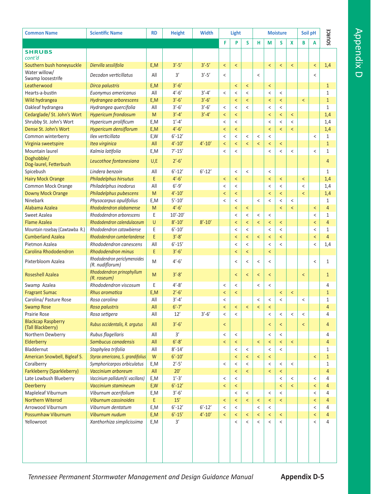| <b>Common Name</b>                             | <b>Scientific Name</b>                          | <b>RD</b>  | <b>Height</b>        | <b>Width</b> |                          | Light                    |                          |                          |                          | <b>Moisture</b>          |                          | Soil pH                  |                          |                              |
|------------------------------------------------|-------------------------------------------------|------------|----------------------|--------------|--------------------------|--------------------------|--------------------------|--------------------------|--------------------------|--------------------------|--------------------------|--------------------------|--------------------------|------------------------------|
|                                                |                                                 |            |                      |              | F                        | P                        | S                        | н                        | M                        | S                        | X                        | B                        | A                        | SOURCE                       |
| <b>SHRUBS</b>                                  |                                                 |            |                      |              |                          |                          |                          |                          |                          |                          |                          |                          |                          |                              |
| cont'd                                         |                                                 |            |                      |              |                          |                          |                          |                          |                          |                          |                          |                          |                          |                              |
| Southern bush honeysuckle                      | Diervilla sessilifolia                          | E,M        | $3' - 5'$            | $3' - 5'$    | $\,<$                    | $\,<$                    |                          |                          | $\overline{\phantom{0}}$ | $\,<$                    | $\,<$                    |                          | $\,<$                    | 1,4                          |
| Water willow/                                  | Decodon verticillatus                           | All        | $3^\prime$           | $3' - 5'$    | $\,<\,$                  |                          |                          | $\,<$                    |                          |                          |                          |                          | $\,<$                    |                              |
| Swamp loosestrife                              |                                                 |            |                      |              |                          |                          |                          |                          |                          |                          |                          |                          |                          |                              |
| Leatherwood                                    | Dirca palustris                                 | E,M<br>All | $3'-6'$<br>$4' - 6'$ | $3' - 4'$    |                          | $\,<$                    | $\,<$                    |                          | $\,<$                    |                          |                          |                          |                          | $\mathbf{1}$                 |
| Hearts-a-bustin<br>Wild hydrangea              | Euonymus americanus<br>Hydrangea arborescens    | E,M        | $3'-6'$              | $3'-6'$      | $\,<$                    | $\,<$<br>$\,<$           | $\,<$<br>$\,<$           |                          | $\,<\,$<br>$\,<$         | $\,<$<br>$\,<\,$         |                          | $\,<$                    |                          | $\mathbf{1}$<br>$\mathbf{1}$ |
| Oakleaf hydrangea                              | Hydrangea quercifolia                           | All        | $3'-6'$              | $3'-6'$      | $\,<\,$                  | $\,<\,$                  | $\overline{\phantom{a}}$ |                          | $\,<\,$                  | $\,<\,$                  |                          |                          |                          | $\mathbf{1}$                 |
| Cedarglade/ St. John's Wort                    | <b>Hypericum frondosum</b>                      | M          | $3' - 4'$            | $3' - 4'$    | $\prec$                  | $\,<$                    |                          |                          | $\overline{\phantom{0}}$ | $\,<\,$                  | $\,<$                    |                          |                          | 1,4                          |
| Shrubby St. John's Wort                        | Hypericum prolificum                            | E,M        | $1' - 4'$            |              | $\,<\,$                  | $\,<$                    |                          |                          | $\,<\,$                  | $\,<\,$                  | $\,<\,$                  |                          |                          | 1,4                          |
| Dense St. John's Wort                          | Hypericum densiflorum                           | E,M        | $4' - 6'$            |              | $\,<$                    | $\,<$                    |                          |                          | $\overline{\phantom{0}}$ | $\overline{\phantom{a}}$ | $\overline{\phantom{0}}$ |                          |                          | 1,4                          |
| Common winterberry                             | Ilex verticillata                               | E,W        | $6' - 12'$           |              | $\,<$                    | $\,<\,$                  | $\,<\,$                  | $\,<$                    | $\,<\,$                  |                          |                          |                          | $\,<$                    | $\mathbf{1}$                 |
| Virginia sweetspire                            | Itea virginica                                  | All        | $4' - 10'$           | $4' - 10'$   | $\,<$                    | $\,<$                    | $\overline{\phantom{0}}$ | $\prec$                  | $\,<$                    | $\,<\,$                  |                          |                          |                          | $\mathbf{1}$                 |
| Mountain laurel                                | Kalmia latifolia                                | E,M        | $7' - 15'$           |              | $\,<$                    | $\,<\,$                  |                          |                          | $\,<\,$                  | $\,<$                    | $\,<$                    |                          | $\,<\,$                  | $\mathbf{1}$                 |
| Doghobble/                                     |                                                 |            |                      |              |                          |                          |                          |                          |                          |                          |                          |                          |                          |                              |
| Dog-laurel, Fetterbush                         | Leucothoe fontanesiana                          | U,E        | $2' - 6'$            |              |                          |                          |                          |                          |                          |                          |                          |                          |                          | $\overline{4}$               |
| Spicebush                                      | Lindera benzoin                                 | All        | $6' - 12'$           | $6' - 12'$   |                          | $\,<$                    | $\,<$                    |                          | $\,<$                    |                          |                          |                          |                          | $\mathbf{1}$                 |
| <b>Hairy Mock Orange</b>                       | Philadelphus hirsutus                           | E          | $4' - 6'$            |              | $\,<$                    | $\,<$                    |                          |                          | $\overline{\phantom{0}}$ | $\,<$                    |                          | $\,<$                    |                          | 1,4                          |
| Common Mock Orange                             | Philadelphus inodorus                           | All        | $6' - 9'$            |              | $\,<\,$                  | $\,<\,$                  |                          |                          | $\,<\,$                  | $\,<\,$                  |                          | $\,<\,$                  |                          | 1,4                          |
| <b>Downy Mock Orange</b>                       | Philadelphus pubescens                          | M          | $4' - 10'$           |              | $\,<$                    | $\,<$                    |                          |                          | $\overline{\phantom{0}}$ | $\,<$                    |                          | $\,<$                    |                          | 1,4                          |
| Ninebark                                       | Physocarpus opulifolius                         | E,M        | $5' - 10'$           |              | $\,<$                    | $\,<$                    |                          | $\,<$                    | $\,<\,$                  | $\,<\,$                  | $\,<$                    |                          |                          | $\mathbf{1}$                 |
| Alabama Azalea                                 | Rhododendron alabamense                         | M          | $4'-6'$              |              |                          | $\,<$                    | $\,<$                    |                          |                          | $\overline{\phantom{0}}$ | $\overline{\phantom{0}}$ |                          | $\,<$                    | $\overline{4}$               |
| Sweet Azalea                                   | Rhododendron arborescens                        | E          | $10' - 20'$          |              |                          | $\,<\,$                  | $\,<\,$                  | $\,<$                    | $\,<$                    |                          |                          |                          | $\,<\,$                  | $\mathbf{1}$                 |
| <b>Flame Azalea</b>                            | Rhododendron calendulaceum                      | $\cup$     | $8' - 10'$           | $8' - 10'$   |                          | $\prec$                  | $\overline{\phantom{0}}$ | $\overline{\phantom{0}}$ | $\overline{\phantom{a}}$ | $\overline{\phantom{0}}$ |                          |                          | $\overline{\phantom{a}}$ | $\overline{4}$               |
| Mountain rosebay (Cawtawba R.)                 | Rhododendron catawbiense                        | E          | $6' - 10'$           |              |                          | $\,<$                    | $\,<\,$                  |                          | $\,<\,$                  | $\,<\,$                  |                          |                          | $\,<\,$                  | $\mathbf{1}$                 |
| <b>Cumberland Azalea</b>                       | Rhododendron cumberlandense                     | E          | $3' - 8'$            |              |                          | $\,<$                    | $\overline{\phantom{a}}$ | $\,<$                    | $\,<$                    | $\overline{\phantom{a}}$ |                          |                          | $\,<$                    | $\overline{4}$               |
| Pietmon Azalea                                 | Rhododendron canescens                          | All        | $6' - 15'$           |              |                          | $\,<$                    | $\,<\,$                  |                          | $\,<\,$                  | $\,<\,$                  |                          |                          | $\,<$                    | 1,4                          |
| Carolina Rhododendron                          | <b>Rhododendron minus</b>                       | E          | $3'-6'$              |              |                          | $\,<$                    | $\,<\,$                  |                          | $\overline{\phantom{0}}$ |                          |                          |                          |                          |                              |
| Pixterbloom Azalea                             | Rhododendron periclymenoides<br>(R. nudiflorum) | M          | $4' - 6'$            |              |                          | $\,<\,$                  | $\,<$                    | $\,<$                    | $\,<\,$                  |                          |                          |                          | $\,<$                    | $\mathbf{1}$                 |
| <b>Roseshell Azalea</b>                        | Rhododendron prinophyllum<br>(R. roseum)        | M          | $3' - 8'$            |              |                          | $\prec$                  | $\prec$                  | $\prec$                  | $\,<$                    |                          |                          | $\overline{\phantom{0}}$ |                          | $\mathbf{1}$                 |
| Swamp Azalea                                   | Rhododendron viscosum                           | E          | $4' - 8'$            |              | $\,<$                    | $\,<$                    |                          | $\,<$                    | $\,<\,$                  |                          |                          |                          |                          | 4                            |
| <b>Fragrant Sumac</b>                          | Rhus aromatica                                  | E,M        | $2' - 6'$            |              | $\,<\,$                  | $\,<$                    |                          |                          |                          | $\,<$                    | $\,<$                    |                          |                          | $\mathbf{1}$                 |
| Carolina/ Pasture Rose                         | Rosa carolina                                   | All        | $3' - 4'$            |              | $\,<$                    |                          |                          | $\,<$                    | $\,<$                    | $\,<\,$                  |                          | $\,<$                    |                          | $\mathbf{1}$                 |
| <b>Swamp Rose</b>                              | Rosa palustris                                  | All        | $6' - 7'$            |              | $\overline{\phantom{a}}$ | $\overline{\phantom{a}}$ | $\,<$                    | $\overline{\phantom{0}}$ | $\overline{\phantom{a}}$ |                          |                          |                          |                          | $\overline{4}$               |
| <b>Prairie Rose</b>                            | Rosa setigera                                   | All        | 12'                  | $3'-6'$      | $\,<\,$                  | $\,<\,$                  |                          |                          | $\,<\,$                  | $\,<\,$                  | $\,<\,$                  | $\,<\,$                  |                          | 4                            |
| <b>Blackcap Raspberry</b><br>(Tall Blackberry) | Rubus occidentalis, R. argutus                  | All        | $3'-6'$              |              | $\overline{\phantom{0}}$ |                          |                          |                          | $\overline{\phantom{0}}$ | $\prec$                  |                          | $\,<$                    |                          | $\overline{4}$               |
| Northern Dewberry                              | Rubus flagellaris                               | All        | 3'                   |              | $\,<$                    | $\,<\,$                  |                          |                          | $\,<$                    | $\,<\,$                  |                          |                          |                          | 4                            |
| Elderberry                                     | Sambucus canadensis                             | All        | $6' - 8'$            |              | $\,<$                    | $\,<$                    |                          | $\,<$                    | $\,<$                    | $\,<\,$                  | $\,<$                    |                          |                          | $\overline{4}$               |
| Bladdernut                                     | Staphylea trifolia                              | All        | $8' - 14'$           |              |                          | $\,<\,$                  | $\,<\,$                  |                          | $\,<\,$                  | $\,<\,$                  |                          |                          |                          | $\mathbf{1}$                 |
| American Snowbell, Bigleaf S.                  | Styrax americana, S. grandifolius               | W          | $6' - 10'$           |              |                          | $\,<$                    | $\,<\,$                  | $\,<$                    | $\,<\,$                  |                          |                          |                          | $\,<$                    | $\mathbf{1}$                 |
| Coralberry                                     | Symphoricarpos orbiculatus                      | E,M        | $2' - 5'$            |              | $\,<$                    | $\,<\,$                  | $\overline{\phantom{0}}$ |                          | $\,<$                    | $\,<$                    | $\,<\,$                  |                          |                          | $\mathbf{1}$                 |
| <b>Farkleberry (Sparkleberry)</b>              | Vaccinium arboreum                              | All        | 20'                  |              |                          | $\,<$                    | $\prec$                  |                          | $\overline{\phantom{a}}$ | $\,<\,$                  |                          |                          |                          | $\overline{4}$               |
| Late Lowbush Blueberry                         | Vaccinium pallidum(V. vacillans)                | E,M        | $1'-3'$              |              | $\,<$                    | $\,<$                    |                          |                          |                          | $\,<\,$                  | $\,<$                    |                          | $\,<\,$                  | 4                            |
| Deerberry                                      | Vaccinium stamineum                             | E,W        | $6' - 12'$           |              | $\overline{\phantom{a}}$ | $\,<$                    |                          |                          |                          | $\overline{\phantom{a}}$ | $\overline{\phantom{0}}$ |                          | $\prec$                  | $\overline{4}$               |
| Mapleleaf Viburnum                             | Viburnum acerifolium                            | E,M        | $3'-6'$              |              |                          | $\,<\,$                  | $\,<\,$                  |                          | $\,<$                    | $\,<$                    |                          |                          | $\,<\,$                  | 4                            |
| <b>Northern Witerod</b>                        | Viburnum cassinoides                            | E          | $15'$                |              | $\,<$                    | $\,<$                    | $\,<\,$                  | $\,<$                    | $\,<$                    | $\prec$                  |                          |                          | $\,<$                    | $\overline{4}$               |
| Arrowood Viburnum                              | Viburnum dentatum                               | E,M        | $6' - 12'$           | $6' - 12'$   | $\,<$                    | $\,<$                    |                          | $\,<$                    | $\,<\,$                  |                          |                          |                          | $\,<$                    | 4                            |
| Possumhaw Viburnum                             | Viburnum nudum                                  | E,M        | $6' - 15'$           | $4' - 10'$   | $\,<$                    | $\,<$                    | $\,<\,$                  | $\,<$                    | $\,<$                    | $\,<\,$                  |                          |                          | $\,<$                    | $\overline{4}$               |
| Yellowroot                                     | Xanthorhiza simplicissima                       | E,M        | $3'$                 |              |                          | $\,<\,$                  | $\,<\,$                  | $\,<$                    | $\,<\,$                  | $\,<$                    |                          |                          | $\,<\,$                  | 4                            |
|                                                |                                                 |            |                      |              |                          |                          |                          |                          |                          |                          |                          |                          |                          |                              |

Tennessee Permanent Stormwater Management and Design Guidance Manual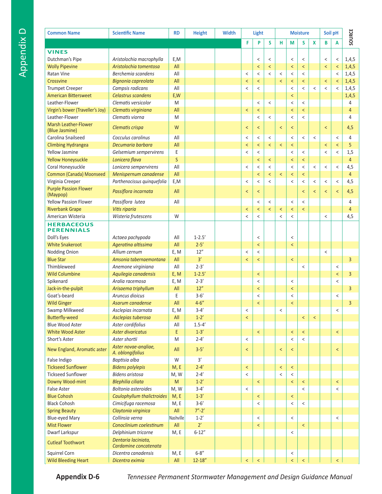| <b>Common Name</b>                       | <b>Scientific Name</b>                       | <b>RD</b>                                                                                                  | <b>Height</b> | <b>Width</b> | Light                    |                          |                          |                          |                          | <b>Moisture</b>          |                          | Soil pH                  | SOURCE                   |                |
|------------------------------------------|----------------------------------------------|------------------------------------------------------------------------------------------------------------|---------------|--------------|--------------------------|--------------------------|--------------------------|--------------------------|--------------------------|--------------------------|--------------------------|--------------------------|--------------------------|----------------|
|                                          |                                              |                                                                                                            |               |              | F                        | P                        | S                        | н                        | M                        | S                        | X                        | B                        | Α                        |                |
| <b>VINES</b>                             |                                              |                                                                                                            |               |              |                          |                          |                          |                          |                          |                          |                          |                          |                          |                |
| Dutchman's Pipe                          | Aristolochia macrophylla                     | E,M                                                                                                        |               |              |                          | $\,<$                    | $\,<$                    |                          | $\,<$                    | $\,<$                    |                          | $\,<$                    | $\,<$                    | 1,4,5          |
| <b>Wolly Pipevine</b>                    | Aristolochia tomentosa                       | All                                                                                                        |               |              |                          | $\overline{\phantom{a}}$ | $\,<$                    |                          | $\overline{\phantom{a}}$ | $\overline{\phantom{0}}$ |                          | $\overline{\phantom{0}}$ | $\overline{\phantom{a}}$ | 1,4,5          |
| <b>Ratan Vine</b>                        | Berchemia scandens                           | All                                                                                                        |               |              | $\,<$                    | $\,<$                    | $\,<\,$                  | $\,<$                    | $\,<\,$                  | $\,<\,$                  |                          |                          | $\,<$                    | 1,4,5          |
| Crossvine                                | Bignonia capreolata                          | All                                                                                                        |               |              | $\,<$                    | $\,<$                    |                          | $\,<$                    | $\,<\,$                  | $\,<$                    |                          | $\,<$                    | $\,<$                    | 1,4,5          |
| <b>Trumpet Creeper</b>                   | Campsis radicans                             | All                                                                                                        |               |              | $\,<$                    | $\,<\,$                  |                          |                          | $\,<\,$                  | $\,<\,$                  | $\,<$                    | $\,<$                    | $\,<$                    | 1,4,5          |
| <b>American Bittersweet</b>              | Celastrus scandens                           | E,W                                                                                                        |               |              |                          |                          |                          |                          | $\overline{\phantom{a}}$ |                          |                          |                          |                          | 1,4,5          |
| Leather-Flower                           | Clematis versicolor                          | M                                                                                                          |               |              |                          | $\,<$                    | $\,<$                    |                          | $\,<\,$                  | $\,<\,$                  |                          |                          |                          | 4              |
| Virgin's bower (Traveller's Joy)         | Clematis virginiana                          | All                                                                                                        |               |              | $\,<$                    | $\,<$                    |                          |                          | $\,<$                    | $\overline{\phantom{0}}$ |                          |                          |                          | $\overline{4}$ |
| Leather-Flower                           | Clematis viorna                              | M                                                                                                          |               |              |                          | $\,<\,$                  | $\,<$                    |                          | $\,<\,$                  | $\overline{\phantom{a}}$ |                          |                          |                          | 4              |
| Marsh Leather-Flower                     |                                              |                                                                                                            |               |              |                          |                          |                          |                          |                          |                          |                          |                          |                          |                |
| (Blue Jasmine)                           | Clematis crispa                              | W                                                                                                          |               |              | $\,<$                    | $\overline{\phantom{0}}$ |                          | $\overline{\phantom{0}}$ | $\overline{\phantom{0}}$ |                          |                          | $\overline{\phantom{0}}$ |                          | 4,5            |
| Carolina Snailseed                       | Cocculus carolinus                           | All                                                                                                        |               |              | $\,<$                    | $\,<$                    | $\,<$                    |                          | $\,<$                    | $\,<$                    | $\,<$                    |                          | $\,<\,$                  | 4              |
| <b>Climbing Hydrangea</b>                | Decumaria barbara                            | All                                                                                                        |               |              | $\,<$                    | $\overline{\phantom{a}}$ | $\overline{\phantom{0}}$ | $\,<$                    | $\overline{\phantom{a}}$ |                          |                          | $\,<$                    | $\overline{\phantom{a}}$ | 5              |
| <b>Yellow Jasmine</b>                    | Gelsemium sempervirens                       | E                                                                                                          |               |              | $\,<\,$                  | $\,<$                    |                          |                          | $\,<\,$                  | $\,<$                    |                          | $\,<$                    | $\,<\,$                  | 1,5            |
| <b>Yellow Honeysuckle</b>                | Lonicera flava                               | S                                                                                                          |               |              |                          | $\,<\,$                  | $\,<$                    |                          | $\,<\,$                  | $\,<$                    |                          |                          |                          | $\overline{4}$ |
| Coral Honeysuckle                        | Lonicera sempervirens                        | All                                                                                                        |               |              | $\,<$                    | $\,<\,$                  | $\,<$                    |                          | $\,<\,$                  | $\,<\,$                  | $\,<$                    | $\,<$                    | $\,<$                    | 4,5            |
| Common (Canada) Moonseed                 | Menispernum canadense                        | All                                                                                                        |               |              |                          | $\overline{\phantom{a}}$ | $\overline{\phantom{a}}$ | $\overline{\phantom{a}}$ | $\overline{\phantom{a}}$ | $\overline{\phantom{0}}$ |                          |                          |                          | $\overline{4}$ |
| Virginia Creeper                         | Parthenocissus quinquefolia                  | E,M                                                                                                        |               |              | $\,<$                    | $\,<\,$                  | $\,<$                    |                          | $\,<\,$                  | $\,<$                    | $\,<\,$                  | $\,<$                    | $\,<\,$                  | 4,5            |
| <b>Purple Passion Flower</b><br>(Maypop) | Passiflora incarnata                         | All                                                                                                        |               |              | $\,<$                    | $\,<$                    |                          |                          |                          | $\overline{\phantom{0}}$ | $\overline{\phantom{0}}$ | $\prec$                  | $\prec$                  | 4,5            |
| <b>Yellow Passion Flower</b>             | Passiflora lutea                             | All                                                                                                        |               |              |                          | $\,<$                    | $\,<$                    |                          | $\,<$                    | $\,<\,$                  |                          |                          |                          | 4              |
| <b>Riverbank Grape</b>                   | Vitis riparia                                |                                                                                                            |               |              | $\,<$                    | $\,<\,$                  | $\overline{\phantom{0}}$ | $\,<$                    | $\,<$                    | $\overline{\phantom{0}}$ |                          |                          |                          | $\overline{4}$ |
| American Wisteria                        | Wisteria frutescens                          | W                                                                                                          |               |              | $\,<$                    | $\,<\,$                  |                          | $\,<\,$                  | $\,<\,$                  |                          |                          | $\,<$                    |                          | 4,5            |
| <b>HERBACEOUS</b>                        |                                              |                                                                                                            |               |              |                          |                          |                          |                          |                          |                          |                          |                          |                          |                |
| <b>PERENNIALS</b>                        |                                              |                                                                                                            |               |              |                          |                          |                          |                          |                          |                          |                          |                          |                          |                |
| Doll's Eyes                              | Actaea pachypoda                             | All                                                                                                        | $1 - 2.5'$    |              |                          | $\,<$                    |                          |                          | $\,<\,$                  |                          |                          |                          |                          |                |
| <b>White Snakeroot</b>                   | Ageratina altissima                          | All                                                                                                        | $2 - 5'$      |              |                          | $\,<$                    |                          |                          | $\,<$                    |                          |                          |                          |                          |                |
| <b>Nodding Onion</b>                     | Allium cernum                                | E, M                                                                                                       | 12"           |              | $\,<$                    | $\,<$                    |                          |                          |                          |                          |                          | $\,<$                    |                          |                |
| <b>Blue Star</b>                         | Amsonia tabernaemontana                      | All                                                                                                        | 3'            |              | $\,<$                    | $\,<\,$                  |                          |                          | $\,<$                    |                          |                          |                          |                          | 3              |
| Thimbleweed                              | Anemone virginiana                           | All                                                                                                        | $2 - 3'$      |              |                          |                          |                          |                          |                          | $\,<$                    |                          |                          | $\,<\,$                  |                |
| <b>Wild Columbine</b>                    | Aquilegia canadensis                         | E, M                                                                                                       | $1 - 2.5'$    |              |                          | $\,<\,$                  |                          |                          |                          |                          |                          |                          | $\prec$                  | 3              |
| Spikenard                                | Aralia racemosa                              | E, M                                                                                                       | $2 - 3'$      |              |                          | $\,<$                    |                          |                          | $\,<$                    |                          |                          |                          | $\,<$                    |                |
| Jack-in-the-pulpit                       | Arisaema triphyllum                          | All                                                                                                        | 12"           |              |                          | $\overline{\phantom{0}}$ |                          |                          | $\,<\,$                  |                          |                          |                          |                          | 3              |
| Goat's-beard                             | Aruncus dioicus                              | E                                                                                                          | $3 - 6'$      |              |                          | $\,<\,$                  |                          |                          | $\,<\,$                  |                          |                          |                          | $\,<\,$                  |                |
| <b>Wild Ginger</b>                       | Asarum canadense                             | All                                                                                                        | $4 - 6''$     |              |                          | $\overline{\phantom{0}}$ |                          |                          | $\overline{\phantom{0}}$ |                          |                          |                          |                          | 3              |
| Swamp Milkweed                           | Asclepias incarnata                          | E, M                                                                                                       | $3 - 4'$      |              | <                        |                          |                          |                          |                          |                          |                          |                          |                          |                |
| <b>Butterfly-weed</b>                    | Asclepias tuberosa                           | All                                                                                                        | $1 - 2'$      |              | $\,<$                    |                          |                          |                          |                          | $\,<$                    | $\,<\,$                  |                          |                          |                |
| <b>Blue Wood Aster</b>                   | Aster cordifolius                            | All                                                                                                        | $1.5 - 4'$    |              |                          |                          |                          |                          |                          |                          |                          |                          |                          |                |
| <b>White Wood Aster</b>                  | Aster divaricatus                            | E                                                                                                          | $1 - 3'$      |              |                          | $\,<$                    |                          |                          | $\,<$                    | $\,<\,$                  |                          |                          | $\prec$                  |                |
| Short's Aster                            | Aster shortii                                | M                                                                                                          | $2 - 4'$      |              | $\,<$                    |                          |                          |                          | $\,<\,$                  | $\overline{\phantom{a}}$ |                          |                          |                          |                |
| New England, Aromatic aster              | Aster novae-angliae,<br>A. oblongifolius     | All                                                                                                        | $3 - 5'$      |              | $\,<$                    |                          |                          | $\,<$                    | $\,<$                    |                          |                          |                          | $\overline{\phantom{0}}$ |                |
| False Indigo                             | Baptisia alba                                | W                                                                                                          | 3'            |              |                          |                          |                          |                          |                          |                          |                          |                          |                          |                |
| <b>Tickseed Sunflower</b>                | <b>Bidens polylepis</b>                      | M, E                                                                                                       | $2 - 4'$      |              | $\,<$                    |                          |                          | $\,<$                    | $\,<$                    |                          |                          |                          |                          |                |
| <b>Tickseed Sunflower</b>                | Bidens aristosa                              | M, W                                                                                                       | $2 - 4'$      |              | $\,<\,$                  |                          |                          | $\,<\,$                  | $\,<\,$                  |                          |                          |                          |                          |                |
| Downy Wood-mint                          | <b>Blephilia ciliata</b>                     | $\mathsf{M}% _{T}=\mathsf{M}_{T}\!\left( a,b\right) ,\ \mathsf{M}_{T}=\mathsf{M}_{T}\!\left( a,b\right) ,$ | $1 - 2'$      |              |                          | $\,<$                    |                          |                          | $\overline{\phantom{0}}$ | $\,<\,$                  |                          |                          | $\,<$                    |                |
| <b>False Aster</b>                       | Boltonia asteroides                          | M, W                                                                                                       | $3 - 4'$      |              | $\,<$                    |                          |                          |                          |                          | $\overline{\phantom{a}}$ |                          |                          | $\,<\,$                  |                |
| <b>Blue Cohosh</b>                       | Caulophyllum thalictroides                   | M, E                                                                                                       | $1 - 3'$      |              |                          | $\,<$                    |                          |                          | $\,<$                    |                          |                          |                          |                          |                |
| <b>Black Cohosh</b>                      | Cimicifuga racemosa                          | M, E                                                                                                       | $3 - 6'$      |              |                          | $\,<$                    |                          |                          | $\,<$                    | $\,<\,$                  |                          |                          |                          |                |
| <b>Spring Beauty</b>                     | Claytonia virginica                          | All                                                                                                        | $7 - 2'$      |              |                          |                          |                          |                          |                          |                          |                          |                          |                          |                |
| <b>Blue-eyed Mary</b>                    | Collinsia verna                              | Nashville                                                                                                  | $1 - 2'$      |              |                          | $\,<$                    |                          |                          | $\,<$                    |                          |                          |                          | $\,<\,$                  |                |
| <b>Mist Flower</b>                       | Conoclinium coelestinum                      | All                                                                                                        | 2'            |              |                          | $\,<$                    |                          |                          |                          | $\,<\,$                  |                          |                          |                          |                |
| Dwarf Larkspur                           | Delphinium tricorne                          | M, E                                                                                                       | $6 - 12"$     |              |                          |                          |                          |                          | $\,<$                    |                          |                          |                          |                          |                |
| <b>Cutleaf Toothwort</b>                 | Dentaria laciniata,<br>Cardamine concatenata |                                                                                                            |               |              |                          |                          |                          |                          |                          |                          |                          |                          |                          |                |
| Squirrel Corn                            | Dicentra canadensis                          | M, E                                                                                                       | $6 - 8''$     |              |                          |                          |                          |                          | $\,<$                    |                          |                          |                          |                          |                |
| <b>Wild Bleeding Heart</b>               | Dicentra eximia                              | All                                                                                                        | $12 - 18"$    |              | $\overline{\phantom{0}}$ | $\,<$                    |                          |                          | $\overline{\phantom{0}}$ | $\,<$                    |                          |                          | $\overline{\phantom{a}}$ |                |

Tennessee Permanent Stormwater Management and Design Guidance Manual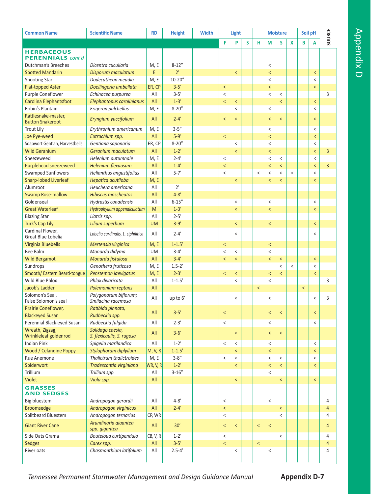| <b>Common Name</b>                             | <b>Scientific Name</b>                        | <b>RD</b> | <b>Height</b> | <b>Width</b> | Light                    |                          |   |                          |                          | <b>Moisture</b>          |                          | Soil pH |         | SOURCE         |  |
|------------------------------------------------|-----------------------------------------------|-----------|---------------|--------------|--------------------------|--------------------------|---|--------------------------|--------------------------|--------------------------|--------------------------|---------|---------|----------------|--|
|                                                |                                               |           |               |              | F                        | P                        | S | н                        | M                        | S                        | X                        | B       | A       |                |  |
| <b>HERBACEOUS</b>                              |                                               |           |               |              |                          |                          |   |                          |                          |                          |                          |         |         |                |  |
| <b>PERENNIALS</b> cont'd                       |                                               |           |               |              |                          |                          |   |                          |                          |                          |                          |         |         |                |  |
| Dutchman's Breeches                            | Dicentra cucullaria                           | M, E      | $8 - 12"$     |              |                          |                          |   |                          | $\,<$                    |                          |                          |         |         |                |  |
| <b>Spotted Mandarin</b>                        | Disporum maculatum                            | E         | $2^{\prime}$  |              |                          | $\,<$                    |   |                          | $\,<$                    |                          |                          |         | $\,<$   |                |  |
| Shooting Star                                  | Dodecatheon meadia                            | M, E      | $10 - 20"$    |              |                          |                          |   |                          | $\,<$                    |                          |                          |         | $\,<$   |                |  |
| <b>Flat-topped Aster</b>                       | Doellingeria umbellata                        | ER, CP    | $3 - 5'$      |              | $\prec$                  |                          |   |                          | $\overline{\phantom{0}}$ |                          |                          |         | $\,<$   |                |  |
| Purple Coneflower                              | Echinacea purpurea                            | All       | $3 - 5'$      |              | $\,<$                    |                          |   |                          | $\,<$                    | $\,<$                    |                          |         |         | 3              |  |
| Carolina Elephantsfoot                         | Elephantopus carolinianus                     | All       | $1 - 3'$      |              | $\,<$                    | $\,<$                    |   |                          |                          | $\prec$                  |                          |         | $\,<$   |                |  |
| Robin's Plantain                               | Erigeron pulchellus                           | M, E      | $8 - 20''$    |              |                          | $\,<$                    |   |                          | $\,<$                    |                          |                          |         | $\,<$   |                |  |
| Rattlesnake-master,<br><b>Button Snakeroot</b> | Eryngium yuccifolium                          | All       | $2 - 4'$      |              | $\,<$                    | $\overline{\phantom{0}}$ |   |                          | $\prec$                  | $\prec$                  |                          |         | $\,<$   |                |  |
| <b>Trout Lily</b>                              | Erythronium americanum                        | M, E      | $3 - 5''$     |              |                          |                          |   |                          | $\,<$                    |                          |                          |         | $\,<$   |                |  |
| Joe Pye-weed                                   | Eutrachium spp.                               | All       | $5-9'$        |              | $\prec$                  |                          |   |                          | $\,<$                    |                          |                          |         | $\prec$ |                |  |
| Soapwort Gentian, Harvestbells                 | Gentiana saponaria                            | ER, CP    | $8 - 20''$    |              |                          | $\,<$                    |   |                          | $\,<$                    |                          |                          |         | $\,<$   |                |  |
| <b>Wild Geranium</b>                           | Geranium maculatum                            | All       | $1 - 2'$      |              |                          | $\,<$                    |   |                          | $\,<$                    |                          |                          |         | $\,<$   | $\overline{3}$ |  |
| Sneezeweed                                     | Helenium autumnale                            | M, E      | $2 - 4'$      |              | $\,<$                    |                          |   |                          | $\,<$                    | $\,<$                    |                          |         | $\,<$   |                |  |
| Purplehead sneezeweed                          | <b>Helenium flexuosum</b>                     | All       | $1 - 4'$      |              | $\prec$                  |                          |   |                          | $\,<$                    | $\,<$                    |                          |         | $\,<$   | $\overline{3}$ |  |
| <b>Swamped Sunflowers</b>                      | Helianthus angustifolius                      | All       | $5 - 7'$      |              | $\,<\,$                  |                          |   | $\,<$                    | $\,<\,$                  | $\,<$                    | $\overline{\phantom{a}}$ |         | $\,<\,$ |                |  |
| <b>Sharp-lobed Liverleaf</b>                   | Hepatica acutiloba                            | M, E      |               |              |                          | $\,<$                    |   |                          | $\,<$                    | $\overline{\phantom{0}}$ |                          |         | $\,<$   |                |  |
| Alumroot                                       | Heuchera americana                            | All       | 2'            |              |                          |                          |   |                          |                          |                          |                          |         |         |                |  |
| <b>Swamp Rose-mallow</b>                       | <b>Hibiscus moscheutos</b>                    | All       | $4 - 8'$      |              |                          |                          |   |                          |                          |                          |                          |         |         |                |  |
| Goldenseal                                     | Hydrastis canadensis                          | All       | $6 - 15''$    |              |                          | $\,<$                    |   |                          | $\,<$                    |                          |                          |         | $\,<$   |                |  |
| <b>Great Waterleaf</b>                         | Hydrophyllum appendiculatum                   | M         | $1 - 3'$      |              |                          | $\,<$                    |   |                          | $\,<$                    |                          |                          |         | $\,<$   |                |  |
| <b>Blazing Star</b>                            | Liatris spp.                                  | All       | $2 - 5'$      |              |                          |                          |   |                          |                          |                          |                          |         |         |                |  |
| <b>Turk's Cap Lily</b>                         | Lilium superbum                               | <b>UM</b> | $3 - 9'$      |              |                          | $\,<$                    |   |                          | $\,<$                    |                          |                          |         | $\,<$   |                |  |
| Cardinal Flower,<br>Great Blue Lobelia         | Lobelia cardinalis, L. siphilitica            | All       | $2 - 4'$      |              |                          | $\,<\,$                  |   |                          |                          |                          |                          |         | $\,<$   |                |  |
| <b>Virginia Bluebells</b>                      | Mertensia virginica                           | M, E      | $1 - 1.5'$    |              | $\,<$                    |                          |   |                          | $\,<$                    |                          |                          |         |         |                |  |
| <b>Bee Balm</b>                                | Monarda didyma                                | <b>UM</b> | $3 - 4'$      |              | $\,<\,$                  | $\,<$                    |   |                          | $\,<\,$                  |                          |                          |         |         |                |  |
| <b>Wild Bergamot</b>                           | Monarda fistulosa                             | All       | $3 - 4'$      |              | $\,<$                    | $\,<$                    |   |                          | $\,<$                    | $\,<$                    |                          |         | $\,<$   |                |  |
| Sundrops                                       | Oenothera fruticosa                           | M, E      | $1.5 - 2'$    |              |                          |                          |   |                          |                          | $\,<$                    | $\,<$                    |         | $\,<$   |                |  |
| Smooth/ Eastern Beard-tongue                   | Penstemon laevigatus                          | M, E      | $2 - 3'$      |              | $\overline{\phantom{0}}$ | $\,<$                    |   |                          | $\,<$                    | $\,<$                    |                          |         | $\,<$   |                |  |
| <b>Wild Blue Phlox</b>                         | Phlox divaricata                              | All       | $1 - 1.5'$    |              |                          | $\,<$                    |   |                          | $\,<$                    |                          |                          |         |         | 3              |  |
| Jacob's Ladder                                 | Polemonium reptans                            | All       |               |              |                          |                          |   | $\overline{\phantom{0}}$ |                          |                          |                          | $\,<$   |         |                |  |
| Solomon's Seal.<br>False Solomon's seal        | Polygonatum biflorum;<br>Smilacina racemosa   | All       | up to 6'      |              |                          | $\,<$                    |   |                          | $\,<$                    |                          |                          |         | $\,<$   | 3              |  |
| Prairie Coneflower,                            | Ratibida pinnata,                             |           |               |              |                          |                          |   |                          |                          |                          |                          |         |         |                |  |
| <b>Blackeyed Susan</b>                         | Rudbeckia spp.                                | All       | $3 - 5'$      |              | $\,<$                    |                          |   |                          | $\,<$                    | $\,<$                    |                          |         | $\,<$   |                |  |
| Perennial Black-eyed Susan                     | Rudbeckia fulgida                             | All       | $2 - 3'$      |              | $\overline{\phantom{a}}$ |                          |   |                          | $\,<$                    |                          |                          |         | $\,<$   |                |  |
| Wreath, Zigzag,<br>Wrinkleleaf goldenrod       | Solidago caesia,<br>S. flexicaulis, S. rugosa | All       | $3 - 6'$      |              |                          | $\overline{\phantom{0}}$ |   |                          | $\,<$                    | $\prec$                  |                          |         |         |                |  |
| <b>Indian Pink</b>                             | Spigelia marilandica                          | All       | $1 - 2'$      |              | $\,<$                    | $\,<$                    |   |                          | $\,<$                    |                          |                          |         | $\,<\,$ |                |  |
| <b>Wood / Celandine Poppy</b>                  | Stylophorum diplyllum                         | M, V, R   | $1 - 1.5'$    |              |                          | $\overline{\phantom{0}}$ |   |                          | $\,<$                    |                          |                          |         | $\prec$ |                |  |
| Rue Anemone                                    | Thalictrum thalictroides                      | M, E      | $3 - 8''$     |              | $\,<\,$                  | $\,<$                    |   |                          | $\,<$                    | $\,<$                    |                          |         | $\,<\,$ |                |  |
| Spiderwort                                     | Tradescantia virainiana                       | WR, V, R  | $1 - 2'$      |              |                          | $\,<$                    |   |                          | $\,<$                    | $\,<$                    |                          |         | $\,<$   |                |  |
| Trillium                                       | Trillium spp.                                 | All       | $3 - 16"$     |              |                          |                          |   |                          | $\,<$                    |                          |                          |         |         |                |  |
| Violet                                         | Viola spp.                                    | All       |               |              |                          | $\,<$                    |   |                          |                          | $\,<$                    |                          |         | $\,<\,$ |                |  |
| <b>GRASSES</b>                                 |                                               |           |               |              |                          |                          |   |                          |                          |                          |                          |         |         |                |  |
| <b>AND SEDGES</b>                              |                                               |           |               |              |                          |                          |   |                          |                          |                          |                          |         |         |                |  |
| Big bluestem                                   | Andropogon gerardii                           | All       | $4 - 8'$      |              | $\,<\,$                  |                          |   |                          | $\,<$                    |                          |                          |         |         | 4              |  |
| <b>Broomsedge</b>                              | Andropogon virginicus                         | All       | $2 - 4'$      |              | $\,<$                    |                          |   |                          |                          | $\,<$                    |                          |         |         | $\overline{4}$ |  |
| Splitbeard Bluestem                            | Andropogon ternarius                          | CP, WR    |               |              | $\,<\,$                  |                          |   |                          |                          | $\,<$                    |                          |         |         | 4              |  |
| <b>Giant River Cane</b>                        | Arundinaria gigantea<br>spp. gigantea         | All       | 30'           |              | $\overline{\phantom{0}}$ | $\prec$                  |   | $\overline{\phantom{0}}$ | $\,<$                    |                          |                          |         |         | $\overline{4}$ |  |
| Side Oats Grama                                | Bouteloua curtipendula                        | CB, V, R  | $1 - 2'$      |              | $\,<\,$                  |                          |   |                          |                          | $\,<$                    |                          |         |         | 4              |  |
| <b>Sedges</b>                                  | Carex spp.                                    | All       | $3 - 5'$      |              | $\overline{\phantom{0}}$ |                          |   | $\overline{\phantom{0}}$ |                          |                          |                          |         |         | $\overline{4}$ |  |
| River oats                                     | Chasmanthium latifolium                       | All       | $2.5 - 4'$    |              |                          | $\,<$                    |   |                          | $\,<$                    |                          |                          |         |         | 4              |  |
|                                                |                                               |           |               |              |                          |                          |   |                          |                          |                          |                          |         |         |                |  |

Appendix D

Tennessee Permanent Stormwater Management and Design Guidance Manual

**Appendix D-7**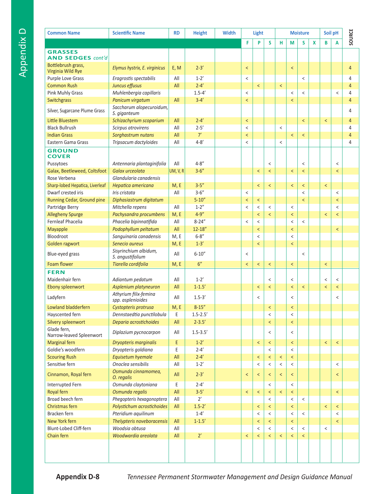| <b>Common Name</b>                      | <b>Scientific Name</b>                     | <b>RD</b> | <b>Height</b> | <b>Width</b> | Light                    |                          |                          |                          | <b>Moisture</b>          |                          |   | Soil pH |                          | SOURCE         |
|-----------------------------------------|--------------------------------------------|-----------|---------------|--------------|--------------------------|--------------------------|--------------------------|--------------------------|--------------------------|--------------------------|---|---------|--------------------------|----------------|
|                                         |                                            |           |               |              | F                        | P                        | S                        | н                        | M                        | S                        | X | B       | A                        |                |
| <b>GRASSES</b>                          |                                            |           |               |              |                          |                          |                          |                          |                          |                          |   |         |                          |                |
| <b>AND SEDGES cont'd</b>                |                                            |           |               |              |                          |                          |                          |                          |                          |                          |   |         |                          |                |
| Bottlebrush grass,<br>Virginia Wild Rye | Elymus hystrix, E. virginicus              | E, M      | $2 - 3'$      |              | $\,<$                    |                          |                          |                          | $\,<$                    |                          |   |         |                          | $\overline{4}$ |
| Purple Love Grass                       | Eragrostis spectabilis                     | All       | $1 - 2'$      |              | $\,<\,$                  |                          |                          |                          |                          | $\,<$                    |   |         |                          | 4              |
| <b>Common Rush</b>                      | Juncus effusus                             | All       | $2 - 4'$      |              |                          | $\prec$                  |                          | $\,<$                    |                          |                          |   |         |                          | $\overline{4}$ |
| Pink Muhly Grass                        | Muhlenbergia capillaris                    |           | $1.5 - 4'$    |              | $\,<$                    |                          |                          |                          | $\,<$                    | $\,<$                    |   |         | $\,<$                    | 4              |
| Switchgrass                             | Panicum virgatum                           | All       | $3 - 4'$      |              | $\,<$                    |                          |                          |                          | $\,<$                    |                          |   |         |                          | 4              |
| Silver, Sugarcane Plume Grass           | Saccharum alopecuroidum,<br>S. giganteum   |           |               |              |                          |                          |                          |                          |                          |                          |   |         |                          | 4              |
| Little Bluestem                         | Schizachyrium scoparium                    | All       | $2 - 4'$      |              | $\,<\,$                  |                          |                          |                          |                          | $\overline{\phantom{0}}$ |   | $\,<$   |                          | 4              |
| <b>Black Bullrush</b>                   | Scirpus atrovirens                         | All       | $2 - 5'$      |              | $\,<$                    |                          |                          | $\,<\,$                  |                          |                          |   |         |                          | 4              |
| <b>Indian Grass</b>                     | Sorghastrum nutans                         | All       | 7'            |              | $\overline{\phantom{a}}$ |                          |                          |                          | $\,<$                    | $\,<$                    |   |         |                          | 4              |
| Eastern Gama Grass                      | Tripsacum dactyloides                      | All       | $4 - 8'$      |              | $\,<$                    |                          |                          | $\,<\,$                  |                          |                          |   |         |                          | 4              |
| <b>GROUND</b><br><b>COVER</b>           |                                            |           |               |              |                          |                          |                          |                          |                          |                          |   |         |                          |                |
| Pussytoes                               | Antennaria plantaginifolia                 | All       | $4 - 8''$     |              |                          |                          | $\,<$                    |                          |                          | $\,<$                    |   |         | $\,<\,$                  |                |
| Galax, Beetleweed, Coltsfoot            | Galax urceolata                            | UM, V, R  | $3 - 6''$     |              |                          | $\,<$                    | $\overline{\phantom{0}}$ |                          | $\,<$                    | $\overline{\phantom{0}}$ |   |         | $\overline{\phantom{0}}$ |                |
| Rose Verbena                            | Glandularia canadensis                     |           |               |              |                          |                          |                          |                          |                          |                          |   |         |                          |                |
| Sharp-lobed Hepatica, Liverleaf         | Hepatica americana                         | M, E      | $3 - 5''$     |              |                          | $\overline{\phantom{0}}$ | $\overline{\phantom{0}}$ |                          | $\overline{\phantom{0}}$ | $\prec$                  |   | $\,<$   |                          |                |
| Dwarf crested iris                      | Iris cristata                              | All       | $3 - 6''$     |              | $\,<\,$                  |                          |                          |                          |                          | $\overline{\phantom{a}}$ |   |         | $\,<\,$                  |                |
| Running Cedar, Ground pine              | Diphasiastrum digitatum                    |           | $5 - 10''$    |              | $\overline{\phantom{0}}$ | $\overline{\phantom{0}}$ |                          |                          |                          | $\overline{\phantom{0}}$ |   |         | $\overline{\phantom{0}}$ |                |
| Partridge Berry                         | Mitchella repens                           | All       | $1 - 2''$     |              | $\,<\,$                  | $\,<$                    | $\,<$                    |                          | $\,<$                    |                          |   |         | $\,<$                    |                |
| <b>Allegheny Spurge</b>                 | Pachysandra procumbens                     | M, E      | $4 - 9''$     |              |                          | $\,<$                    | $\overline{\phantom{0}}$ |                          | $\,<$                    |                          |   | $\,<$   | $\overline{\phantom{a}}$ |                |
| Fernleaf Phacelia                       | Phacelia bipinnatifida                     | All       | $8 - 24"$     |              | $\,<$                    | $\,<$                    |                          |                          | $\,<$                    | $\,<$                    |   |         |                          |                |
| Mayapple                                | Podophyllum peltatum                       | All       | $12 - 18''$   |              |                          | $\overline{\phantom{0}}$ |                          |                          | $\,<$                    |                          |   |         | $\overline{\phantom{a}}$ |                |
| Bloodroot                               | Sanguinaria canadensis                     | M, E      | $6 - 8''$     |              |                          | $\,<$                    |                          |                          | $\,<$                    |                          |   |         |                          |                |
| Golden ragwort                          | Senecio aureus                             | M, E      | $1-3'$        |              |                          | $\,<$                    |                          |                          | $\,<$                    |                          |   |         |                          |                |
|                                         | Sisyrinchium albidum,                      |           |               |              |                          |                          |                          |                          |                          |                          |   |         |                          |                |
| Blue-eyed grass                         | S. angustifolium                           | All       | $6 - 10''$    |              | $\,<$                    |                          |                          |                          |                          | $\,<$                    |   |         |                          |                |
| Foam flower                             | Tiarella cordifolia                        | M, E      | 6"            |              | $\,<$                    | $\,<$                    | $\,<$                    |                          | $\,<$                    |                          |   | $\,<$   |                          |                |
| <b>FERN</b>                             |                                            |           |               |              |                          |                          |                          |                          |                          |                          |   |         |                          |                |
| Maidenhair fern                         | Adiantum pedatum                           | All       | $1 - 2'$      |              |                          |                          | $\,<$                    |                          | $\,<$                    |                          |   | $\,<$   | $\,<\,$                  |                |
| Ebony spleenwort                        | Asplenium platyneuron                      | All       | $1 - 1.5'$    |              |                          | $\,<$                    | $\,<$                    |                          | $\,<$                    | $\overline{\phantom{0}}$ |   | $\,<$   | $\overline{\phantom{a}}$ |                |
| Ladyfern                                | Athyrium filix-femina<br>spp. asplenioides | All       | $1.5 - 3'$    |              |                          | $\,<$                    |                          |                          | $\,<$                    |                          |   |         | $\,<\,$                  |                |
| Lowland bladderfern                     | Cystopteris protrusa                       | M, E      | $8 - 15''$    |              |                          |                          |                          |                          |                          |                          |   |         |                          |                |
| Hayscented fern                         | Dennstaedtia punctilobula                  | Е         | $1.5 - 2.5'$  |              |                          |                          | $\,<$                    |                          | $\,<$                    |                          |   |         |                          |                |
| Silvery spleenwort                      | Deparia acrostichoides                     | All       | $2 - 3.5'$    |              |                          |                          | $\,<$                    |                          | $\prec$                  |                          |   |         |                          |                |
| Glade fern,<br>Narrow-leaved Spleenwort | Diplazium pycnocarpon                      | All       | $1.5 - 3.5'$  |              |                          |                          | $\,<$                    |                          | $\,<$                    |                          |   |         |                          |                |
| <b>Marginal fern</b>                    | Dryopteris marginalis                      | E         | $1 - 2'$      |              |                          | $\,<$                    | $\,<$                    |                          | $\,<$                    |                          |   | $\,<$   | $\,<\,$                  |                |
| Goldie's woodfern                       | Dryopteris goldiana                        | E         | $2 - 4'$      |              |                          |                          | $\,<\,$                  |                          | $\overline{\phantom{a}}$ |                          |   |         |                          |                |
| <b>Scouring Rush</b>                    | Equisetum hyemale                          | All       | $2 - 4'$      |              |                          | $\,<$                    | $\,<$                    | $\,<$                    | $\overline{\phantom{0}}$ |                          |   |         |                          |                |
| Sensitive fern                          | Onoclea sensibilis                         | All       | $1 - 2'$      |              |                          | $\,<$                    | $\,<$                    | $\,<\,$                  | $\,<$                    |                          |   |         | $\,<$                    |                |
| Cinnamon, Royal fern                    | Osmunda cinnamomea,<br>O. regalis          | All       | $2 - 3'$      |              | $\,<$                    | $\prec$                  | $\,<$                    | $\overline{\phantom{0}}$ | $\overline{\phantom{0}}$ |                          |   |         | $\overline{\phantom{0}}$ |                |
| Interrupted Fern                        | Osmunda claytoniana                        | Е         | $2 - 4'$      |              |                          |                          | $\,<$                    |                          | $\,<\,$                  |                          |   |         |                          |                |
| Royal fern                              | Osmunda regalis                            | All       | $3 - 5'$      |              | $\,<$                    | $\,<$                    | $\,<$                    | $\,<$                    | $\,<$                    |                          |   |         | $\,<$                    |                |
| Broad beech fern                        | Phegopteris hexagonoptera                  | All       | 2'            |              |                          |                          | $\,<$                    |                          | $\,<$                    | $\,<$                    |   |         |                          |                |
| Christmas fern                          | Polystichum acrostichoides                 | All       | $1.5 - 2'$    |              |                          | $\,<$                    | $\overline{\phantom{0}}$ |                          | $\,<$                    |                          |   | $\,<$   | $\,<$                    |                |
| Bracken fern                            | Pteridium aquilinum                        |           | $1 - 4'$      |              |                          | $\,<$                    | $\,<\,$                  |                          | $\,<$                    | $\,<$                    |   |         | $\,<$                    |                |
| New York fern                           | Thelypteris noveboracensis                 | All       | $1 - 1.5'$    |              |                          | $\overline{\phantom{0}}$ | $\,<$                    |                          | $\,<$                    |                          |   |         | $\overline{\phantom{0}}$ |                |
| Blunt-Lobed Cliff-fern                  | Woodsia obtusa                             | All       |               |              |                          | $\,<$                    | $\,<\,$                  |                          | $\,<\,$                  | $\,<\,$                  |   | $\,<$   |                          |                |
| Chain fern                              | Woodwardia areolata                        | All       | 2'            |              | $\,<$                    | $\,<$                    | $\,<$                    | $\,<$                    | $\prec$                  | $\,<$                    |   |         |                          |                |
|                                         |                                            |           |               |              |                          |                          |                          |                          |                          |                          |   |         |                          |                |